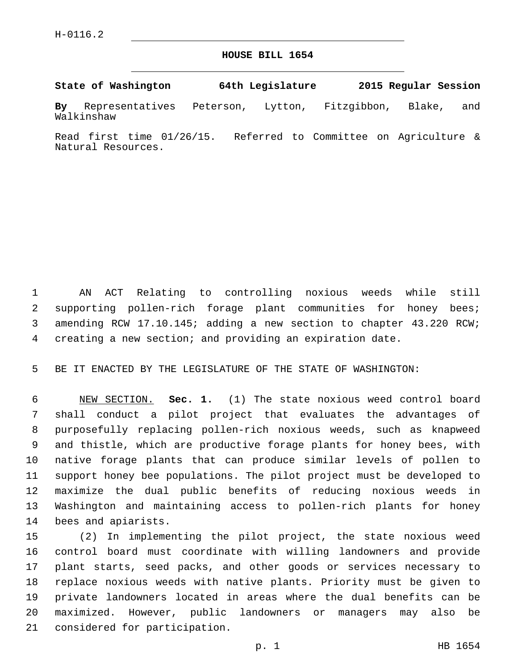## **HOUSE BILL 1654**

**State of Washington 64th Legislature 2015 Regular Session**

**By** Representatives Peterson, Lytton, Fitzgibbon, Blake, and Walkinshaw

Read first time 01/26/15. Referred to Committee on Agriculture & Natural Resources.

 AN ACT Relating to controlling noxious weeds while still supporting pollen-rich forage plant communities for honey bees; amending RCW 17.10.145; adding a new section to chapter 43.220 RCW; creating a new section; and providing an expiration date.

BE IT ENACTED BY THE LEGISLATURE OF THE STATE OF WASHINGTON:

 NEW SECTION. **Sec. 1.** (1) The state noxious weed control board shall conduct a pilot project that evaluates the advantages of purposefully replacing pollen-rich noxious weeds, such as knapweed and thistle, which are productive forage plants for honey bees, with native forage plants that can produce similar levels of pollen to support honey bee populations. The pilot project must be developed to maximize the dual public benefits of reducing noxious weeds in Washington and maintaining access to pollen-rich plants for honey bees and apiarists.

 (2) In implementing the pilot project, the state noxious weed control board must coordinate with willing landowners and provide plant starts, seed packs, and other goods or services necessary to replace noxious weeds with native plants. Priority must be given to private landowners located in areas where the dual benefits can be maximized. However, public landowners or managers may also be 21 considered for participation.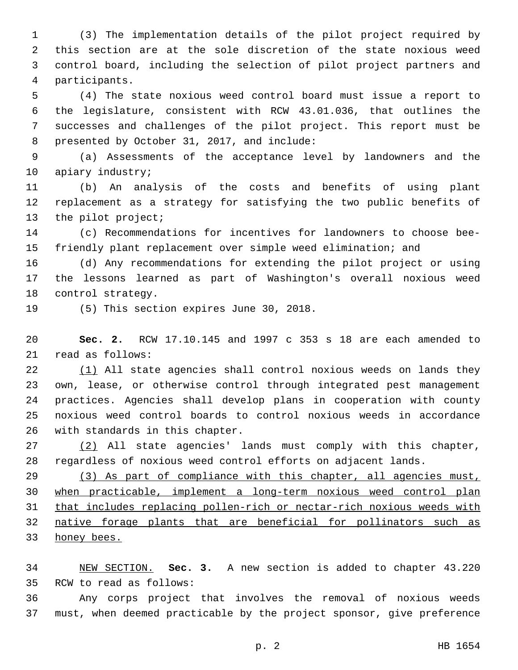(3) The implementation details of the pilot project required by this section are at the sole discretion of the state noxious weed control board, including the selection of pilot project partners and participants.4

 (4) The state noxious weed control board must issue a report to the legislature, consistent with RCW 43.01.036, that outlines the successes and challenges of the pilot project. This report must be 8 presented by October 31, 2017, and include:

 (a) Assessments of the acceptance level by landowners and the 10 apiary industry;

 (b) An analysis of the costs and benefits of using plant replacement as a strategy for satisfying the two public benefits of 13 the pilot project;

 (c) Recommendations for incentives for landowners to choose bee-friendly plant replacement over simple weed elimination; and

 (d) Any recommendations for extending the pilot project or using the lessons learned as part of Washington's overall noxious weed 18 control strategy.

19 (5) This section expires June 30, 2018.

 **Sec. 2.** RCW 17.10.145 and 1997 c 353 s 18 are each amended to 21 read as follows:

22 (1) All state agencies shall control noxious weeds on lands they own, lease, or otherwise control through integrated pest management practices. Agencies shall develop plans in cooperation with county noxious weed control boards to control noxious weeds in accordance 26 with standards in this chapter.

 (2) All state agencies' lands must comply with this chapter, regardless of noxious weed control efforts on adjacent lands.

 (3) As part of compliance with this chapter, all agencies must, when practicable, implement a long-term noxious weed control plan that includes replacing pollen-rich or nectar-rich noxious weeds with native forage plants that are beneficial for pollinators such as honey bees.

 NEW SECTION. **Sec. 3.** A new section is added to chapter 43.220 35 RCW to read as follows:

 Any corps project that involves the removal of noxious weeds must, when deemed practicable by the project sponsor, give preference